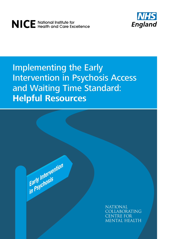



# Implementing the Early Intervention in Psychosis Access and Waiting Time Standard: **Helpful Resources**

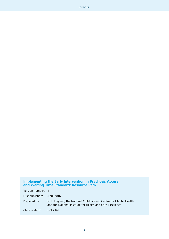#### **Implementing the Early Intervention in Psychosis Access and Waiting Time Standard: Resource Pack**

| Version number: 1           |                                                                                                                               |
|-----------------------------|-------------------------------------------------------------------------------------------------------------------------------|
| First published: April 2016 |                                                                                                                               |
| Prepared by:                | NHS England, the National Collaborating Centre for Mental Health<br>and the National Institute for Health and Care Excellence |
| Classification:             | <b>OFFICIAL</b>                                                                                                               |

**2**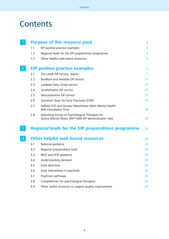# **Contents**

|   |     | <b>Purpose of this resource pack</b>                                                                        | $\overline{4}$ |
|---|-----|-------------------------------------------------------------------------------------------------------------|----------------|
|   | 1.1 | EIP positive practice examples                                                                              | 4              |
|   | 1.2 | Regional leads for the EIP preparedness programme                                                           | 4              |
|   | 1.3 | Other helpful web-based resources                                                                           | $\overline{4}$ |
|   |     | <b>EIP positive practice examples</b>                                                                       | 5              |
|   | 2.1 | The Leeds EIP service, 'aspire'                                                                             | $\overline{7}$ |
|   | 2.2 | Bradford and Airedale EIP service                                                                           | 11             |
|   | 2.3 | Lambeth Early Onset service                                                                                 | 13             |
|   | 2.4 | Southampton EIP service                                                                                     | 15             |
|   | 2.5 | Worcestershire EIP service                                                                                  | 17             |
|   | 2.6 | Somerset Team for Early Psychosis (STEP)                                                                    | 19             |
|   | 2.7 | Salford CCG and Greater Manchester West Mental Health<br><b>NHS Foundation Trust</b>                        | 20             |
|   | 2.8 | Improving Access to Psychological Therapies for<br>Severe Mental Illness (IAPT-SMI) EIP demonstration sites | 20             |
| 3 |     | <b>Regional leads for the EIP preparedness programme</b>                                                    | 22             |
| 4 |     | <b>Other helpful web-based resources</b>                                                                    | 24             |
|   | 4.1 | National guidance                                                                                           | 24             |
|   | 4.2 | Regional preparedness tools                                                                                 | 24             |
|   | 4.3 | NICE and SCIE guidance                                                                                      | 24             |
|   | 4.4 | Understanding demand                                                                                        | 25             |
|   | 4.5 | Early detection                                                                                             | 25             |
|   | 4.6 | Early intervention in psychosis                                                                             | 25             |
|   | 4.7 | Psychosis pathways                                                                                          | 25             |
|   | 4.8 | Competencies for psychological therapists                                                                   | 25             |
|   | 4.9 | Other useful resources to support quality improvement                                                       | 25             |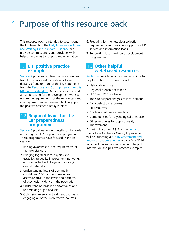# 1 Purpose of this resource pack

This resource pack is intended to accompany the Implementing the [Early Intervention Access](https://www.england.nhs.uk/mentalhealth/wp-content/uploads/sites/29/2016/04/eip-guidance.pdf)  [and Waiting Time Standard Guidance](https://www.england.nhs.uk/mentalhealth/wp-content/uploads/sites/29/2016/04/eip-guidance.pdf) and provide commissioners and providers with helpful resources to support implementation.

## 1.1 **EIP positive practice examples**

[Section 2](#page-4-0) provides positive practice examples from EIP services with a particular focus on delivery of one or more of the key statements from the [Psychosis and Schizophrenia in Adults](https://www.nice.org.uk/guidance/qs80)  [NICE quality standard.](https://www.nice.org.uk/guidance/qs80) All of the services cited are undertaking further development work to ensure the requirements of the new access and waiting time standard are met, building upon the positive practice already in place.

## 1.2 **Regional leads for the EIP preparedness programme**

[Section 3](#page-21-0) provides contact details for the leads of the regional EIP preparedness programmes. These programmes have focused in the last year on:

- 1. Raising awareness of the requirements of the new standard.
- 2. Bringing together local experts and establishing quality improvement networks, ensuring effective linkage with strategic clinical networks.
- 3. Understanding levels of demand in constituent CCGs and any inequities in access relative to the levels and patterns of psychosis incidence in the population.
- 4. Understanding baseline performance and undertaking a gap analysis.
- 5. Optimising referral to treatment pathways, engaging all of the likely referral sources.
- 6. Preparing for the new data collection requirements and providing support for EIP service and information leads.
- 7. Supporting local workforce development programmes.

## 1.3 **Other helpful web-based resources**

[Section 4](#page-23-0) provides a large number of links to helpful web-based resources including:

- National guidance
- Regional preparedness tools
- NICE and SCIE guidance
- Tools to support analysis of local demand
- Early detection resources
- EIP resources
- Psychosis pathway exemplars
- Competencies for psychological therapists
- Other resources to support quality improvement.

As noted in section 4.3.4 of the [guidance](https://www.england.nhs.uk/mentalhealth/wp-content/uploads/sites/29/2016/04/eip-guidance.pdf) the College Centre for Quality Improvement will be launching a quality assessment and [improvement programme](http://www.rcpsych.ac.uk/workinpsychiatry/qualityimprovement/ccqiprojects/earlyinterventioninpsychosi.aspx) in early May 2016 which will be an ongoing source of helpful information and positive practice examples.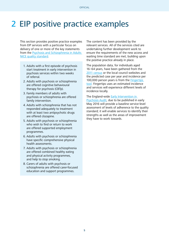# <span id="page-4-0"></span>2 EIP positive practice examples

This section provides positive practice examples from EIP services with a particular focus on delivery of one or more of the key statements from the [Psychosis and Schizophrenia in Adults](http://www.nice.org.uk/guidance/qs80)  [NICE quality standard.](http://www.nice.org.uk/guidance/qs80)

- 1. Adults with a first episode of psychosis start treatment in early intervention in psychosis services within two weeks of referral.
- 2. Adults with psychosis or schizophrenia are offered cognitive behavioural therapy for psychosis (CBTp).
- 3. Family members of adults with psychosis or schizophrenia are offered family intervention.
- 4. Adults with schizophrenia that has not responded adequately to treatment with at least two antipsychotic drugs are offered clozapine.
- 5. Adults with psychosis or schizophrenia who wish to find or return to work are offered supported employment programmes.
- 6. Adults with psychosis or schizophrenia have specific comprehensive physical health assessments.
- 7. Adults with psychosis or schizophrenia are offered combined healthy eating and physical activity programmes, and help to stop smoking.
- 8. Carers of adults with psychosis or schizophrenia are offered carer-focused education and support programmes.

The content has been provided by the relevant services. All of the services cited are undertaking further development work to ensure the requirements of the new access and waiting time standard are met, building upon the positive practice already in place.

The population data, for individuals aged 16–64 years, have been gathered from the [2011 census](http://www.ons.gov.uk/ons/guide-method/census/2011/census-data/index.html) or the local council websites and the predicted case per year and incidence per 100,000 person years is from the [Fingertips](http://fingertips.phe.org.uk/profile-group/mental-health/profile/severe-mental-illness/data#page/0/gid/8000030/pat/6/par/E12000003/ati/101/are/E08000016)  [tool.](http://fingertips.phe.org.uk/profile-group/mental-health/profile/severe-mental-illness/data#page/0/gid/8000030/pat/6/par/E12000003/ati/101/are/E08000016) Fingertips uses an estimated incidence and services will experience different levels of incidence locally.

The England-wide [Early Intervention in](http://www.rcpsych.ac.uk/workinpsychiatry/qualityimprovement/nationalclinicalaudits/earlyinterventionpsychosis.aspx)  [Psychosis Audit](http://www.rcpsych.ac.uk/workinpsychiatry/qualityimprovement/nationalclinicalaudits/earlyinterventionpsychosis.aspx), due to be published in early May 2016 will provide a baseline service-level assessment of levels of adherence to the quality standard; it will enable services to identify their strengths as well as the areas of improvement they have to work towards.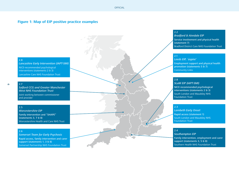#### **Figure 1: Map of EIP positive practice examples**

#### 2.8

2.7

Lancashire Early Intervention (IAPT-SMI) NICE-recommended psychological interventions (statements 2 & 3) Lancashire Care NHS Foundation Trust

**6**

Salford CCG and Greater Manchester West NHS Foundation Trust Joint working between commissioner

#### 2.5

and provider

Worcestershire EIP Family intervention and "SHAPE" (statements 3, 7 & 8) Worcestershire Health and Care NHS Trust

#### 2.6

Somerset Team for Early Psychosis Rapid access, family intervention and carer support (statements 1, 3 & 8) Somerset Partnership NHS Foundation Trust

#### 2.2

Bradford & Airedale EIP Service involvement and physical health (statement 7) Bradford District Care NHS Foundation Trust

#### 2.1

Leeds EIP, 'aspire' Employment support and physical health promotion (statements 5 & 7) Community Links

#### 2.8

SLaM EIP (IAPT-SMI)

NICE-recommended psychological interventions (statements 2 & 3) South London and Maudsley NHS Foundation Trust

#### 2.3

Lambeth Early Onset Rapid access (statement 1) South London and Maudsley NHS Foundation Trust

#### 2.4

Southampton EIP Family intervention, employment and carer support (statements 3, 5 & 8) Southern Health NHS Foundation Trust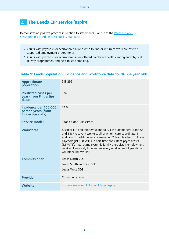# 2.1 **The Leeds EIP service,'aspire'**

Demonstrating positive practice in relation to statements 5 and 7 of the [Psychosis and](http://www.nice.org.uk/guidance/qs80)  [Schizophrenia in Adults NICE quality standard](http://www.nice.org.uk/guidance/qs80):

- 5. Adults with psychosis or schizophrenia who wish to find or return to work are offered supported employment programmes.
- 7. Adults with psychosis or schizophrenia are offered combined healthy eating and physical activity programmes, and help to stop smoking.

### **Table 1: Leeds population, incidence and workforce data for 16–64 year olds**

| <b>Approximate</b><br>population                                       | 513,295                                                                                                                                                                                                                                                                                                                                                                                                                           |
|------------------------------------------------------------------------|-----------------------------------------------------------------------------------------------------------------------------------------------------------------------------------------------------------------------------------------------------------------------------------------------------------------------------------------------------------------------------------------------------------------------------------|
| <b>Predicted cases per</b><br>year (from Fingertips<br>data)           | 126                                                                                                                                                                                                                                                                                                                                                                                                                               |
| Incidence per 100,000<br>person years (from<br><b>Fingertips data)</b> | 24.6                                                                                                                                                                                                                                                                                                                                                                                                                              |
| <b>Service model</b>                                                   | 'Stand alone' EIP service                                                                                                                                                                                                                                                                                                                                                                                                         |
| <b>Workforce</b>                                                       | 8 senior EIP practitioners (band 6), 9 EIP practitioners (band 5)<br>and 6 EIP recovery workers, all of whom care coordinate. In<br>addition: 1 part-time service manager, 2 team leaders, 1 clinical<br>psychologist (0.8 WTE), 2 part-time consultant psychiatrists<br>(1.1 WTE), 1 part-time systemic family therapist, 1 employment<br>worker, 1 support, time and recovery worker, and 1 part-time<br>volunteer link worker. |
| <b>Commissioner</b>                                                    | Leeds North CCG<br>Leeds South and Fast CCG<br>Leeds West CCG                                                                                                                                                                                                                                                                                                                                                                     |
| <b>Provider</b>                                                        | <b>Community Links</b>                                                                                                                                                                                                                                                                                                                                                                                                            |
| <b>Website</b>                                                         | http://www.commlinks.co.uk/sites/aspire                                                                                                                                                                                                                                                                                                                                                                                           |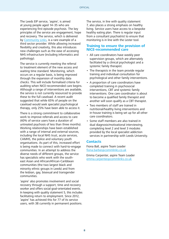The Leeds EIP service, 'aspire', is aimed at young people aged 14–35 who are experiencing first episode psychosis. The key principles of the service are engagement, hope and recovery. The service, which is delivered by [Community Links,](http://www.commlinks.co.uk/sites/aspire) is a rare example of a third sector provider. While allowing increased flexibility and creativity, this also introduces new challenges such as the ease of accessing NHS infrastructure (including informatics and pathology).

The service is currently meeting the referral to treatment element of the new access and waiting time standard. Monitoring, which occurs on a regular basis, is being improved through the expansion of monthly data checks. This will include formalised criteria for auditing when NICE-recommended care begins. Although a range of interventions are available, the service is not currently resourced to provide these to the full caseload. A recent audit suggested that while 65% of people on the caseload would seek specialist psychological therapy, only 25% have been able to access it.

There is a strong commitment to collaborative work to improve referrals and access to care (40% of service users have a duration of untreated psychosis of less than three months). Working relationships have been established with a range of internal and external sources, including the local NHS trust, acute services, CAMHS, the police and voluntary youth organisations. As part of this, increased effort is being made to connect with hard-to-engage communities. In an attempt to address the diverse needs of different groups, the service has specialists who work with the southeast Asian and African/African-Caribbean communities (the two largest black and minority ethnic groups in Leeds) and from the lesbian, gay, bisexual and transgender communities.

'aspire' also promotes involvement and social recovery through a support, time and recovery worker and offers social goal-orientated events. In keeping with quality statement 5, this includes facilitating return to employment. Since 2012, 'aspire' has achieved this for 77 of its service users, with 38 currently in permanent positions.

The service, in line with quality statement 7, also places a strong emphasis on healthy living. Service users have access to a bespoke healthy eating plan. There is regular input from a consultant psychiatrist to ensure that monitoring is in line with the Lester tool.

#### **Training to ensure the provision of NICE-recommended care**

- All care coordinators have weekly peer supervision groups, which are alternately facilitated by a clinical psychologist and a systemic family therapist.
- The therapists in the team provide regular training and individual consultation for psychological and other family interventions.
- A proportion of care coordinators have completed training in psychosocial interventions, CBT and systemic family interventions. One care coordinator is about to become a qualified family therapist and another will soon qualify as a CBT therapist.
- Two members of staff are trained in nutritional/healthy living interventions and in-house training is being set up for all other care coordinators.
- Some staff members are also trained in dual diagnosis/motivational interviewing, completing level 2 and level 3 modules provided by the local specialist addiction services in partnership with Leeds University.

#### **Contacts**

Fiona Ball, aspire Team Leader [fiona.barber@commlinks.co.uk](mailto:fiona.barber%40commlinks.co.uk?subject=)

Emma Carpenter, aspire Team Leader [emma.carpenter@commlinks.co.uk](mailto:emma.carpenter@commlinks.co.uk)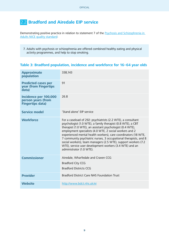# 2.2 **Bradford and Airedale EIP service**

Demonstrating positive practice in relation to statement 7 of the **Psychosis and Schizophrenia in** [Adults NICE quality standard:](http://www.nice.org.uk/guidance/qs80)

7. Adults with psychosis or schizophrenia are offered combined healthy eating and physical activity programmes, and help to stop smoking.

### **Table 3: Bradford population, incidence and workforce for 16–64 year olds**

| <b>Approximate</b><br>population                                       | 338,143                                                                                                                                                                                                                                                                                                                                                                                                                                                                                                                                            |
|------------------------------------------------------------------------|----------------------------------------------------------------------------------------------------------------------------------------------------------------------------------------------------------------------------------------------------------------------------------------------------------------------------------------------------------------------------------------------------------------------------------------------------------------------------------------------------------------------------------------------------|
| <b>Predicted cases per</b><br>year (from Fingertips<br>data)           | 91                                                                                                                                                                                                                                                                                                                                                                                                                                                                                                                                                 |
| Incidence per 100,000<br>person years (from<br><b>Fingertips data)</b> | 26.8                                                                                                                                                                                                                                                                                                                                                                                                                                                                                                                                               |
| <b>Service model</b>                                                   | 'Stand alone' EIP service                                                                                                                                                                                                                                                                                                                                                                                                                                                                                                                          |
| <b>Workforce</b>                                                       | For a caseload of 292: psychiatrists (2.2 WTE), a consultant<br>psychologist (1.0 WTE), a family therapist (0.8 WTE), a CBT<br>therapist (1.0 WTE), an assistant psychologist (0.4 WTE),<br>employment specialists (4.0 WTE, 2 social workers and 2<br>experienced mental health workers), care coordinators (18 WTE,<br>7 community psychiatric nurses, 3 occupational therapists, and 8<br>social workers), team managers (2.5 WTE), support workers (7.2<br>WTE), service user development workers (3.4 WTE) and an<br>administrator (1.0 WTE). |
| <b>Commissioner</b>                                                    | Airedale, Wharfedale and Craven CCG<br><b>Bradford City CCG</b><br><b>Bradford Districts CCG</b>                                                                                                                                                                                                                                                                                                                                                                                                                                                   |
| <b>Provider</b>                                                        | <b>Bradford District Care NHS Foundation Trust</b>                                                                                                                                                                                                                                                                                                                                                                                                                                                                                                 |
| <b>Website</b>                                                         | http://www.bdct.nhs.uk/ei                                                                                                                                                                                                                                                                                                                                                                                                                                                                                                                          |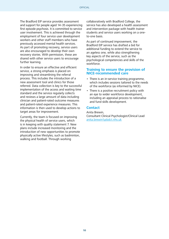The Bradford EIP service provides assessment and support for people aged 14–35 experiencing first episode psychosis. It is committed to service user involvement. This is achieved through the employment of four service user development workers and other staff members who have previously accessed mental health services. As part of promoting recovery, service users are also encouraged to develop their own recovery stories. With permission, these are shared with other service users to encourage further learning.

In order to ensure an effective and efficient service, a strong emphasis is placed on improving and streamlining the referral process. This includes the introduction of a new assessment tool and clinics for those referred. Data collection is key to the successful implementation of the access and waiting time standard and the service regularly collects and reviews a large amount of data including clinician and patient-rated outcome measures and patient-rated experience measures. This information is then used to develop actions to target areas for improvement.

Currently, the team is focused on improving the physical health of service users, which is in keeping with quality statement 7. New plans include increased monitoring and the introduction of new opportunities to promote physically active lifestyles, such as badminton, walking and football. Through working

collaboratively with Bradford College, the service has also developed a health assessment and intervention package with health trainer students and service users working on a oneto-one basis.

As part of continued improvement, the Bradford EIP service has drafted a bid for additional funding to extend the service to an ageless one, while also strengthening key aspects of the service, such as the psychological competencies and skills of the workforce.

#### **Training to ensure the provision of NICE-recommended care**

- There is an in-service training programme, which includes sessions tailored to the needs of the workforce (as informed by NICE).
- There is a positive recruitment policy with an eye to wider workforce development, including an appraisal process to rationalise and fund skills development.

#### **Contact**

Anita Brewin, Consultant Clinical Psychologist/Clinical Lead [anita.brewin1@bdct.nhs.uk](mailto:anita.brewin1%40bdct.nhs.uk?subject=)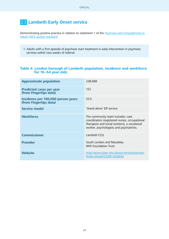# 2.3 **Lambeth Early Onset service**

Demonstrating positive practice in relation to statement 1 of the [Psychosis and Schizophrenia in](http://www.nice.org.uk/guidance/qs80)  [Adults NICE quality standard:](http://www.nice.org.uk/guidance/qs80)

1. Adults with a first episode of psychosis start treatment in early intervention in psychosis services within two weeks of referral.

### **Table 4: London borough of Lambeth population, incidence and workforce for 16–64 year olds**

| <b>Approximate population</b>                                | 228,068                                                                                                                                                                        |
|--------------------------------------------------------------|--------------------------------------------------------------------------------------------------------------------------------------------------------------------------------|
| <b>Predicted cases per year</b><br>(from Fingertips data)    | 122                                                                                                                                                                            |
| Incidence per 100,000 person years<br>(from Fingertips data) | 53.5                                                                                                                                                                           |
| <b>Service model</b>                                         | 'Stand alone' EIP service                                                                                                                                                      |
| <b>Workforce</b>                                             | The community team includes: care<br>coordinators (registered nurses, occupational<br>therapists and social workers), a vocational<br>worker, psychologists and psychiatrists. |
| <b>Commissioner</b>                                          | Lambeth CCG                                                                                                                                                                    |
| <b>Provider</b>                                              | South London and Maudsley<br><b>NHS Foundation Trust</b>                                                                                                                       |
| <b>Website</b>                                               | http://www.slam.nhs.uk/our-services/service-<br>finder-details?CODE=SU0043                                                                                                     |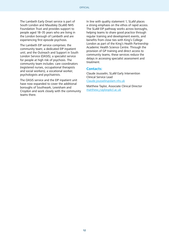The Lambeth Early Onset service is part of South London and Maudsley (SLaM) NHS Foundation Trust and provides support to people aged 18–35 years who are living in the London borough of Lambeth and are experiencing first episode psychosis.

The Lambeth EIP service comprises: the community team; a dedicated EIP inpatient unit; and the Outreach and Support in South London Service (OASIS), a specialist service for people at high risk of psychosis. The community team includes: care coordinators (registered nurses, occupational therapists and social workers), a vocational worker, psychologists and psychiatrists.

The OASIS service and the EIP inpatient unit have now expanded to cover the additional boroughs of Southwark, Lewisham and Croydon and work closely with the community teams there.

In line with quality statement 1, SLaM places a strong emphasis on the ethos of rapid access. The SLaM EIP pathway works across boroughs, helping teams to share good practice through regular training and development events, and benefits from close ties with King's College London as part of the King's Health Partnership Academic Health Science Centre. Through the provision of GP training and direct access to community teams, these services reduce the delays in accessing specialist assessment and treatment.

#### **Contacts:**

Claude Jousselin, SLaM Early Intervention Clinical Service Lead [Claude.jousselin@slam.nhs.uk](mailto:Claude.jousselin%40slam.nhs.uk?subject=)

Matthew Taylor, Associate Clinical Director [matthew.j.taylor@kcl.ac.uk](mailto:matthew.j.taylor%40kcl.ac.uk?subject=)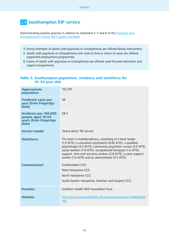# 2.4 **Southampton EIP service**

Demonstrating positive practice in relation to statement 3, 5 and 8 of the [Psychosis and](http://www.nice.org.uk/guidance/qs80)  [Schizophrenia in Adults NICE quality standard](http://www.nice.org.uk/guidance/qs80):

- 3. Family members of adults with psychosis or schizophrenia are offered family intervention.
- 5. Adults with psychosis or schizophrenia who wish to find or return to work are offered supported employment programmes.
- 8. Carers of adults with psychosis or schizophrenia are offered carer-focused education and support programmes.

### **Table 5: Southampton population, incidence and workforce for 16–64 year olds**

| <b>Approximate</b><br>population                                              | 167,297                                                                                                                                                                                                                                                                                                                                                                            |
|-------------------------------------------------------------------------------|------------------------------------------------------------------------------------------------------------------------------------------------------------------------------------------------------------------------------------------------------------------------------------------------------------------------------------------------------------------------------------|
| <b>Predicted cases per</b><br>year (from Fingertips<br>data)                  | 48                                                                                                                                                                                                                                                                                                                                                                                 |
| Incidence per 100,000<br>people aged 16-64<br>years (from Fingertips<br>data) | 28.4                                                                                                                                                                                                                                                                                                                                                                               |
| <b>Service model</b>                                                          | 'Stand alone' EIP service                                                                                                                                                                                                                                                                                                                                                          |
| <b>Workforce</b>                                                              | The team is multidisciplinary, consisting of a team leader<br>(1.0 WTE), a consultant psychiatrist (0.85 WTE), a qualified<br>psychologist (0.5 WTE), community psychiatric nurses (3.0 WTE),<br>social workers (1.8 WTE), occupational therapists (1.6 WTE),<br>support, time and recovery workers (2.8 WTE), a carer support<br>worker (1.0 WTE) and an administrator (0.5 WTE). |
| <b>Commissioner</b>                                                           | Southampton CCG<br>West Hampshire CCG                                                                                                                                                                                                                                                                                                                                              |
|                                                                               | North Hampshire CCG                                                                                                                                                                                                                                                                                                                                                                |
|                                                                               | South Eastern Hampshire, Fareham and Gosport CCG                                                                                                                                                                                                                                                                                                                                   |
| <b>Provider</b>                                                               | Southern Health NHS Foundation Trust                                                                                                                                                                                                                                                                                                                                               |
| <b>Website</b>                                                                | http://www.southernhealth.nhs.uk/services/mental-health/adult/<br>eip/                                                                                                                                                                                                                                                                                                             |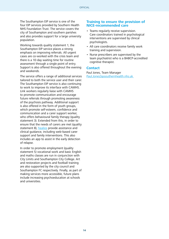The Southampton EIP service is one of the four EIP services provided by Southern Health NHS Foundation Trust. The service covers the city of Southampton and southern parishes and also provides support for a large university population.

Working towards quality statement 1, the Southampton EIP service places a strong emphasis on improving referrals. All urgent cases are co-worked with the crisis team and there is a 10-day waiting time for routine assessment through a single point of entry. Support is also offered throughout the evening and weekends.

The service offers a range of additional services tailored to both the service user and their carer. The Southampton EIP service is also continuing to work to improve its interface with CAMHS. Link workers regularly liaise with CAMHS to promote communication and encourage future referrals through promoting awareness of the psychosis pathway. Additional support is also offered in the form of youth groups, which promote self-esteem, confidence and communication and a carer support worker, who offers behavioural family therapy (quality statement 3). Extended from this, in order to ensure that the needs of carers are met (quality statement 8), [healios](https://www.healios.org.uk/) provide assistance and clinical guidance, including web-based carer support and family interventions. This also includes an app to assist in the early detection of relapse.

In order to promote employment (quality statement 5) vocational work and basic English and maths classes are run in conjunction with City Limits and Southampton City College. Art and restoration projects and football training are also supported by the city council and Southampton FC respectively. Finally, as part of making services more accessible, future plans include increasing psychoeducation at schools and universities.

#### **Training to ensure the provision of NICE-recommended care**

- Teams regularly receive supervision. Care coordinators trained in psychological interventions are supervised by clinical psychologists.
- All care coordinators receive family work training and supervision.
- Nurse prescribers are supervised by the team psychiatrist who is a BABCP-accredited cognitive therapist.

#### **Contact**

Paul Jones, Team Manager [Paul.Jones3@southernhealth.nhs.uk](mailto:Paul.Jones3%40southernhealth.nhs.uk%20?subject=)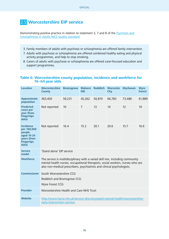# 2.5 **Worcestershire EIP service**

Demonstrating positive practice in relation to statement 3, 7 and 8 of the [Psychosis and](http://www.nice.org.uk/guidance/qs80)  [Schizophrenia in Adults NICE quality standard](http://www.nice.org.uk/guidance/qs80):

- 3. Family members of adults with psychosis or schizophrenia are offered family intervention.
- 7. Adults with psychosis or schizophrenia are offered combined healthy eating and physical activity programmes, and help to stop smoking.
- 8. Carers of adults with psychosis or schizophrenia are offered carer-focused education and support programmes.

#### **Table 6: Worcestershire county population, incidence and workforce for 16–64 year olds**

| <b>Location</b>                                                                                      | <b>Worcestershire</b><br><b>County</b>                                                                                                                                                                                                    | <b>Bromsgrove</b> | <b>Malvern</b><br>Hill | <b>Redditch</b> | <b>Worcester</b><br><b>City</b> | Wychavon | <b>Wyre</b><br><b>Forest</b> |
|------------------------------------------------------------------------------------------------------|-------------------------------------------------------------------------------------------------------------------------------------------------------------------------------------------------------------------------------------------|-------------------|------------------------|-----------------|---------------------------------|----------|------------------------------|
| <b>Approximate</b><br>population                                                                     | 363,450                                                                                                                                                                                                                                   | 59,231            | 45,262                 | 56,819          | 66,783                          | 73,486   | 61,889                       |
| <b>Predicted</b><br>cases per<br>year (from<br><b>Fingertips</b><br>data)                            | Not reported                                                                                                                                                                                                                              | 10                | $\overline{7}$         | 13              | 14                              | 12       | 10                           |
| <b>Incidence</b><br>per 100,000<br>people<br>aged 16-24<br>years (from<br><b>Fingertips</b><br>data) | Not reported                                                                                                                                                                                                                              | 16.4              | 15.2                   | 20.1            | 20.6                            | 15.7     | 16.6                         |
| <b>Service</b><br>model                                                                              | 'Stand alone' EIP service                                                                                                                                                                                                                 |                   |                        |                 |                                 |          |                              |
| <b>Workforce</b>                                                                                     | The service is multidisciplinary with a varied skill mix, including community<br>mental health nurses, occupational therapists, social workers, nurses who are<br>also non-medical prescribers, psychiatrists and clinical psychologists. |                   |                        |                 |                                 |          |                              |
| <b>Commissioner</b>                                                                                  | South Worcestershire CCG<br>Redditch and Bromsgrove CCG<br>Wyre Forest CCG                                                                                                                                                                |                   |                        |                 |                                 |          |                              |
| <b>Provider</b>                                                                                      | Worcestershire Health and Care NHS Trust                                                                                                                                                                                                  |                   |                        |                 |                                 |          |                              |
| <b>Website</b>                                                                                       | http://www.hacw.nhs.uk/service-directory/adult-mental-health/worcestershire-<br>early-intervention-service/                                                                                                                               |                   |                        |                 |                                 |          |                              |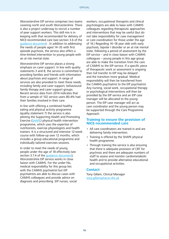Worcestershire EIP service comprises two teams covering north and south Worcestershire. There is also a project underway to recruit a number of peer support workers. This skill mix is in keeping with that recommended for delivery of NICE-recommended care (see section 3.6 of the [guidance document](https://www.england.nhs.uk/mentalhealth/wp-content/uploads/sites/29/2016/04/eip-guidance.pdf)) . In addition to addressing the needs of people aged 14–35 with first episode psychosis, the service also offers a time-limited intervention to young people with an at risk mental state.

Worcestershire EIP service places a strong emphasis on carer support. In line with quality statements 3 and 8, the service is committed to providing families and friends with information about psychosis and support. A range of services are also provided to meet these needs, including family and carer support, behavioural family therapy and carer support groups. Recent service data from 2014 indicates that from a sample of 102 service users 80.4% had their families involved in their care.

In line with offering a combined healthy eating and physical activity programme (quality statement 7) the service is also piloting the Supporting Health and Promoting Exercise [\(SHAPE\)](http://www.hacw.nhs.uk/our-services/early-intervention-service/shape/) physical health intervention programme, which uses the expertise of nutritionists, exercise physiologists and health trainers. It is a structured and intensive 12-week course with follow-up over 12 months, which includes a group educational programme and individually tailored exercises sessions.

In order to meet the needs of young people under the age of 18 effectively (see section 3.7.4 of the quidance document). Worcestershire EIP service works in close liaison with CAMHS. For the under-16s, medical responsibility for this group lies with the CAMHS psychiatrist but EIP psychiatrists are able to discuss cases with CAMHS colleagues and provide advice on diagnosis and prescribing. EIP nurses, social workers, occupational therapists and clinical psychologists are able to liaise with CAMHS colleagues regarding therapeutic approaches and interventions that may be useful (but do not take responsibility for case management or care coordination for those under the age of 16.) Regarding 16–18 year olds with early psychosis, bipolar I disorder or an at risk mental state, following a period of assessment by the EIP service – and in close liaison with CAMHS colleagues – young people in this age group are able to make the transition from the care of CAMHS to the EIP service. If a specific piece of therapeutic work or assessment is ongoing then full transfer to EIP may be delayed and the transition more gradual. Medical responsibility will then be transferred from the CAMHS psychiatrist to the EIP psychiatrist. Any nursing, social work, occupational therapy or psychological interventions will then be provided by the EIP service and an EIP case manager will be allocated to the young person. The EIP case manager will act as care coordinator and the young person may be supported through the Care Programme Approach.

#### **Training to ensure the provision of NICE-recommended care**

- All care coordinators are trained in and are delivering family intervention.
- Training is offered by the SHAPE physical health programme.
- Through training the service is also ensuring that there is adequate provision of CBT for psychosis and there are adequate numbers of staff to assess and monitor cardiometabolic health and to provide alternative educational and occupational activities.

#### **Contact**

Tony Gillam, Clinical Manager [tony.gillam@hacw.nhs.uk](mailto:tony.gillam%40hacw.nhs.uk%20?subject=)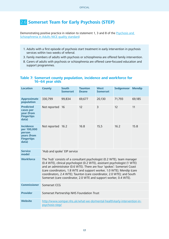# 2.6 **Somerset Team for Early Psychosis (STEP)**

Demonstrating positive practice in relation to statement 1, 3 and 8 of the [Psychosis and](http://www.nice.org.uk/guidance/qs80)  [Schizophrenia in Adults NICE quality standard](http://www.nice.org.uk/guidance/qs80):

- 1. Adults with a first episode of psychosis start treatment in early intervention in psychosis services within two weeks of referral.
- 3. Family members of adults with psychosis or schizophrenia are offered family intervention.
- 8. Carers of adults with psychosis or schizophrenia are offered carer-focused education and support programmes.

| <b>Location</b>                                                                        | <b>County</b>                                                                                                                                                                                                                                                                                                                                                                                                                                             | <b>South</b><br><b>Somerset</b> | <b>Taunton</b><br><b>Deane</b> | <b>West</b><br><b>Somerset</b> | <b>Sedgemoor</b> | <b>Mendip</b> |
|----------------------------------------------------------------------------------------|-----------------------------------------------------------------------------------------------------------------------------------------------------------------------------------------------------------------------------------------------------------------------------------------------------------------------------------------------------------------------------------------------------------------------------------------------------------|---------------------------------|--------------------------------|--------------------------------|------------------|---------------|
| <b>Approximate</b><br>population                                                       | 330,799                                                                                                                                                                                                                                                                                                                                                                                                                                                   | 99,834                          | 69,677                         | 20,130                         | 71,793           | 69,185        |
| <b>Predicted</b><br>cases per<br>year (from<br><b>Fingertips</b><br>data)              | Not reported                                                                                                                                                                                                                                                                                                                                                                                                                                              | 16                              | 12                             | 3                              | 12               | 11            |
| <b>Incidence</b><br>per 100,000<br>person<br>years (from<br><b>Fingertips</b><br>data) | Not reported 16.2                                                                                                                                                                                                                                                                                                                                                                                                                                         |                                 | 16.8                           | 15,5                           | 16.2             | 15.8          |
| <b>Service</b><br>model                                                                | 'Hub and spoke' EIP service                                                                                                                                                                                                                                                                                                                                                                                                                               |                                 |                                |                                |                  |               |
| <b>Workforce</b>                                                                       | The 'hub' consists of a consultant psychologist (0.2 WTE), team manager<br>(0.4 WTE), clinical psychologist (0.2 WTE), assistant psychologist (1 WTE)<br>and an administrator (0.6 WTE). There are four 'spokes': Somerset Coast<br>(care coordinators, 1.8 WTE and support worker, 1.0 WTE); Mendip (care<br>coordinators, 2.4 WTE); Taunton (care coordinator, 2.0 WTE); and South<br>Somerset (care coordinator, 2.0 WTE and support worker, 0.4 WTE). |                                 |                                |                                |                  |               |
| <b>Commissioner</b>                                                                    | Somerset CCG                                                                                                                                                                                                                                                                                                                                                                                                                                              |                                 |                                |                                |                  |               |
| <b>Provider</b>                                                                        | Somerset Partnership NHS Foundation Trust                                                                                                                                                                                                                                                                                                                                                                                                                 |                                 |                                |                                |                  |               |
| <b>Website</b>                                                                         | http://www.sompar.nhs.uk/what-we-do/mental-health/early-intervention-in-<br>psychosis-step/                                                                                                                                                                                                                                                                                                                                                               |                                 |                                |                                |                  |               |

### **Table 7: Somerset county population, incidence and workforce for 16–64 year olds**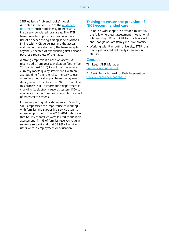STEP utilises a 'hub and spoke' model. As stated in section 3.7.2 of the [guidance](https://www.england.nhs.uk/mentalhealth/wp-content/uploads/sites/29/2016/04/eip-guidance.pdf)  [document](https://www.england.nhs.uk/mentalhealth/wp-content/uploads/sites/29/2016/04/eip-guidance.pdf), such models may be necessary in sparsely populated rural areas. The STEP team provides support for people either at risk of or experiencing first episode psychosis. In line with NICE guidelines and the access and waiting time standard, the team accepts anyone suspected of experiencing first episode psychosis regardless of their age.

A strong emphasis is placed on access. A recent audit from Year 8 Evaluation (September 2013 to August 2014) found that the service currently meets quality statement 1 with an average time from referral to the service user attending their first appointment being seven days (median: four days,  $n = 89$ ). To streamline this process, STEP's information department is changing its electronic records system (RiO) to enable staff to capture new information as part of assessment screens.

In keeping with quality statements 3, 5 and 8, STEP emphasises the importance of working with families and supporting service users to access employment. The 2013–2014 data show that 64.3% of families were invited to the initial assessment, 41.1% of families received regular separate support and that 58.9% of service users were in employment or education.

#### **Training to ensure the provision of NICE-recommended care**

- In-house workshops are provided to staff in the following areas: assessment, motivational interviewing, CBT and CBT for psychosis skills and Triangle of Care (family inclusive practice).
- Working with Plymouth University, STEP runs a one-year accredited family intervention course.

#### **Contacts**

Tim Reed, STEP Manager [tim.reed@sompar.nhs.uk](mailto:tim.reed%40sompar.nhs.uk?subject=)

Dr Frank Burbach, Lead for Early Intervention [frank.burbach@sompar.nhs.uk](mailto:frank.burbach%40sompar.nhs.uk?subject=)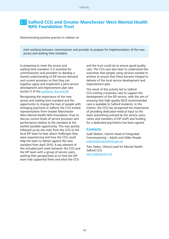## 2.7 **Salford CCG and Greater Manchester West Mental Health NHS Foundation Trust**

Demonstrating positive practice in relation to:

Joint working between commissioner and provider to prepare for implementation of the new access and waiting time standard.

In preparing to meet the access and waiting time standard, it is essential for commissioners and providers to develop a shared understanding of EIP service demand and current provision so that they can together agree and implement a joint service development and improvement plan (see section 5 of the quidance document).

Recognising the importance of the new access and waiting time standard and the opportunity to change the lives of people with emerging psychosis in Salford, the CCG invited representatives from Greater Manchester West Mental Health NHS Foundation Trust to discuss current levels of service provision and performance relative to the standard at the earliest possible opportunity. This was quickly followed up by site visits from the CCG to the local EIP team to hear about challenges they were experiencing and how the CCG could help the team to deliver against the new standard from April 2016. A key element of this included joint work between the CCG and the EIP team with a group of service users, seeking their perspectives as to how the EIP team had supported them and what the CCG

and the trust could do to ensure good quality care. The CCG was also keen to understand the outcomes that people using services wanted to achieve to ensure that these became integral to delivery of the local service development and improvement plan.

The result of this activity led to Salford CCG inviting a business case to support the development of the EIP service, with the aim of ensuring that high-quality NICE-recommended care is available to Salford residents. In the interim, the CCG has recognised the importance of providing dedicated medical input to the team (something echoed by the service users, carers and members of EIP staff) and funding for a dedicated psychiatrist has been agreed.

#### **Contacts**

Judd Skelton, Interim Head of Integrated Commissioning – Adults and Older People [judd.skelton@salford.gov.uk](mailto:judd.skelton%40salford.gov.uk?subject=)

Tom Tasker, Clinical Lead for Mental Health, Salford CCG [tom.tasker@nhs.net](mailto:tom.tasker%40nhs.net?subject=)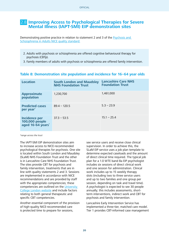## 2.8 **Improving Access to Psychological Therapies for Severe Mental Illness (IAPT-SMI) EIP demonstration sites**

Demonstrating positive practice in relation to statement 2 and 3 of the [Psychosis and](http://www.nice.org.uk/guidance/qs80)  [Schizophrenia in Adults NICE quality standard:](http://www.nice.org.uk/guidance/qs80)

- 2. Adults with psychosis or schizophrenia are offered cognitive behavioural therapy for psychosis (CBTp).
- 3. Family members of adults with psychosis or schizophrenia are offered family intervention.

| <b>Location</b>                                             | <b>South London and Maudsley</b><br><b>NHS Foundation Trust</b> | <b>Lancashire Care NHS</b><br><b>Foundation Trust</b> |
|-------------------------------------------------------------|-----------------------------------------------------------------|-------------------------------------------------------|
| <b>Approximate</b><br>population                            | 1,230,700                                                       | 1,461,000                                             |
| <b>Predicted cases</b><br>per year <sup>*</sup>             | $89.4 - 120.5$                                                  | $5.3 - 23.9$                                          |
| <b>Incidence per</b><br>100,000 people<br>aged 16-64 years* | $37.3 - 53.5$                                                   | $15.1 - 25.4$                                         |

#### **Table 8: Demonstration site population and incidence for 16–64 year olds**

\*range across the trust

The IAPT-SMI EIP demonstration sites aim to increase access to NICE-recommended psychological therapies for psychosis. One site is located within South London and Maudsley (SLaM) NHS Foundation Trust and the other is in Lancashire Care NHS Foundation Trust. The sites provide CBT for psychosis and family intervention, treatments that are in line with quality statements 2 and 3. Sessions are implemented in accordance with NICE recommendations and are provided by staff with the appropriate competencies; these competencies are outlined on the [University](http://www.ucl.ac.uk/pals/research/cehp/research-groups/core/competence-frameworks)  [College London website](http://www.ucl.ac.uk/pals/research/cehp/research-groups/core/competence-frameworks) and include factors relating to both general therapeutic and specific CBT competencies.

Another essential component of the provision of high-quality NICE-recommended care is protected time to prepare for sessions,

see service users and receive close clinical supervision. In order to achieve this, the SLaM EIP service uses a job plan template to determine expected caseloads and the amount of direct clinical time required. The typical job plan for a 1.0 WTE band 8a EIP psychologist includes six sessions of direct clinical work and one session for administration. Clinical work includes up to 15 weekly therapy slots (including two to three service users and up to two families and one group per session, depending on task and travel time). A psychologist is expected to see 30 people annually; this includes assessments, shortterm interventions, indirect work and CBT for psychosis and family intervention.

Lancashire Early Intervention Service has implemented a three-tier, matched care model. Tier 1 provides CBT-informed case management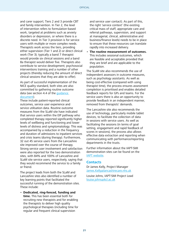and carer support; Tiers 2 and 3 provide CBT and family intervention. In Tier 2, the level of intervention refers to formulation-based work, targeted at problems such as anxiety disorders or depression, or where there is a discrete need. In Tier 3 provision is for service users with multiple or more complex needs. Therapists work across the tiers, providing either supervision (Tier 1 and 2) or direct clinical work (Tier 3); typically a band 7 therapist would provide six clinical sessions and a band 8a therapist would deliver five. Therapists also contribute to service development; psychosocial interventions training and a number of other projects (thereby reducing the amount of direct clinical sessions that they are able to offer).

As part of successful implementation of the NICE quality standard, both sites are also committed to gathering routine outcome data (see section 4.4 of the [guidance](https://www.england.nhs.uk/mentalhealth/wp-content/uploads/sites/29/2016/04/eip-guidance.pdf)  [document](https://www.england.nhs.uk/mentalhealth/wp-content/uploads/sites/29/2016/04/eip-guidance.pdf)).

These include patient-reported clinical outcomes, service user experience and service utilisation data. Routine outcome measures from the SLaM site have indicated that service users within the EIP pathway who completed therapy reported significantly higher levels of wellbeing and functioning and lower levels of distress and symptomatology. This was accompanied by a reduction in the frequency and duration of admissions to inpatient services and crisis teams (during therapy). Furthermore, 32 out 45 service users from the Lancashire site improved over the course of therapy. Strong service user involvement and satisfaction were also reported for the two demonstration sites, with 84% and 100% of Lancashire and SLaM site service users, respectively, saying that they would recommend the service to a family or friend.

The project leads from both the SLaM and Lancashire sites also identified a number of key learning points that facilitated the successful running of the demonstration sites. These include:

• **Dedicated, ring-fenced, funding and time.** This has been essential both for recruiting new therapists and for enabling the therapists to deliver high quality psychological therapies (including time for regular and frequent clinical supervision

and service user contact). As part of this, the right 'service context' (the existing critical mass of staff, appropriate care and referral pathways, supervision, and support at managerial, clinical, administrative and business/finance levels) needs to be in place to ensure that these resources can translate rapidly into increased delivery.

• **The routine measurement of outcomes.** This includes sessional outcomes, which are feasible and acceptable provided that they are brief and are applicable to the population.

The SLaM site also recommends the use of independent assessors in outcome measures, such as psychology assistants. As well as being cost-effective (compared with using therapist time), the process ensures assessment completion is prioritised and enables detailed feedback reports for GPs and teams. For the service users there is also an opportunity to provide feedback in an independent manner, removed from therapists' demands.

The Lancashire site also recommends the use of technology, particularly mobile tablet devices, to facilitate the collection of data in sessions with service users. As well as facilitating the sessions (in terms of goal setting, engagement and rapid feedback of scores in sessions), the process also allows effective data extraction and reporting when communicating with performance/reporting departments in the trusts.

Further information about the IAPT-SMI demonstration sites can be found on the [IAPT website](http://www.iapt.nhs.uk/).

#### **Contacts**

Dr James Kelly, Project Manager [James.Kelly@lancashirecare.nhs.uk](mailto:James.Kelly%40lancashirecare.nhs.uk?subject=)

Louise Johns, IAPT-SMI Project Lead [louise.johns@kcl.ac.uk](mailto:louise.johns%40kcl.ac.uk?subject=)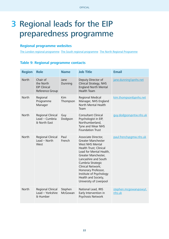# <span id="page-21-0"></span>3 Regional leads for the EIP preparedness programme

### **Regional programme websites**

[The London regional programme](https://officelondonccgs.org.uk/eip/) [The South regional programme](http://time4recovery.com) [The North Regional Programme](https://www.networks.nhs.uk/nhs-networks/early-intervention-in-psychosis-eip-programme-a)

#### **Table 9: Regional programme contacts**

| <b>Region</b> | <b>Role</b>                                                     | <b>Name</b>        | <b>Job Title</b>                                                                                                                                                                                                                                                                                                      | <b>Email</b>                    |
|---------------|-----------------------------------------------------------------|--------------------|-----------------------------------------------------------------------------------------------------------------------------------------------------------------------------------------------------------------------------------------------------------------------------------------------------------------------|---------------------------------|
| <b>North</b>  | Chair of<br>the North<br><b>EIP Clinical</b><br>Reference Group | Jane<br>Dunning    | Deputy Director of<br>Clinical Strategy, NHS<br><b>England North Mental</b><br><b>Health Team</b>                                                                                                                                                                                                                     | jane.dunning1@nhs.net           |
| <b>North</b>  | Regional<br>Programme<br>Manager                                | Kim<br>Thompson    | Regional Medical<br>Manager, NHS England<br>North Mental Health<br>Team                                                                                                                                                                                                                                               | kim.thompson6@nhs.net           |
| <b>North</b>  | Regional Clinical<br>Lead - Cumbria<br>& North East             | Guy<br>Dodgson     | <b>Consultant Clinical</b><br>Psychologist in EIP,<br>Northumberland,<br>Tyne and Wear NHS<br><b>Foundation Trust</b>                                                                                                                                                                                                 | guy.dodgson@ntw.nhs.uk          |
| North         | Regional Clinical<br>$Lead - North$<br>West                     | Paul<br>French     | Associate Director,<br>Greater Manchester<br><b>West NHS Mental</b><br>Health Trust; Clinical<br>Lead for Mental Health,<br>Greater Manchester,<br>Lancashire and South<br>Cumbria Strategic<br>Clinical Network;<br>Honorary Professor,<br>Institute of Psychology<br>Health and Society,<br>University of Liverpool | paul.french@gmw.nhs.uk          |
| North         | Regional Clinical<br>Lead - Yorkshire<br>& Humber               | Stephen<br>McGowan | National Lead, IRIS<br>Early Intervention in<br>Psychosis Network                                                                                                                                                                                                                                                     | stephen.mcgowan@swyt.<br>nhs.uk |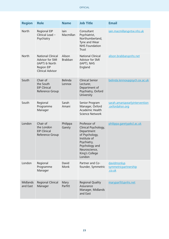| <b>Region</b>               | <b>Role</b>                                                                                                   | <b>Name</b>              | <b>Job Title</b>                                                                                                                                                   | <b>Email</b>                                     |
|-----------------------------|---------------------------------------------------------------------------------------------------------------|--------------------------|--------------------------------------------------------------------------------------------------------------------------------------------------------------------|--------------------------------------------------|
| <b>North</b>                | <b>Regional EIP</b><br>Clinical Lead -<br>Psychiatry                                                          | lain<br>Macmillan        | Consultant<br>Psychiatrist,<br>Northumberland,<br>Tyne and Wear<br><b>NHS Foundation</b><br>Trust                                                                  | iain.macmillan@ntw.nhs.uk                        |
| North                       | <b>National Clinical</b><br>Advisor for SMI<br>(IAPT) & North<br><b>Region EIP</b><br><b>Clinical Advisor</b> | Alison<br><b>Brabban</b> | <b>National Clinical</b><br>Advisor for SMI<br>(IAPT), NHS<br>England                                                                                              | alison.brabban@nhs.net                           |
| South                       | Chair of<br>the South<br><b>EIP Clinical</b><br>Reference Group                                               | Belinda<br>Lennox        | <b>Clinical Senior</b><br>Lecturer,<br>Department of<br>Psychiatry, Oxford<br>University                                                                           | belinda.lennox@psych.ox.ac.uk                    |
| South                       | Regional<br>Programme<br>Manager                                                                              | Sarah<br>Amani           | Senior Program<br>Manager, Oxford<br>Academic Health<br><b>Science Network</b>                                                                                     | sarah.amani@earlyintervention<br>.oxfordahsn.org |
| London                      | Chair of<br>the London<br><b>EIP Clinical</b><br>Reference Group                                              | Philippa<br>Garety       | Professor of<br>Clinical Psychology,<br>Department<br>of Psychology,<br>Institute of<br>Psychiatry,<br>Psychology and<br>Neuroscience,<br>King's College<br>London | philippa.garety@kcl.ac.uk                        |
| London                      | Regional<br>Programme<br>Manager                                                                              | David<br>Monk            | Partner and Co-<br>founder, Symmetric                                                                                                                              | davidmonk@<br>symmetricpartnership<br>.co.uk     |
| <b>Midlands</b><br>and East | Regional Clinical<br>Manager                                                                                  | Mary<br>Parfitt          | <b>Regional Quality</b><br>Assurance<br>Manager, Midlands<br>and East                                                                                              | maryparfitt@nhs.net                              |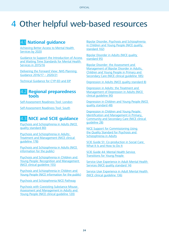**OFFICIAL** 

# <span id="page-23-0"></span>4 Other helpful web-based resources

# 4.1 **National guidance**

[Achieving Better Access to Mental Health](https://www.gov.uk/government/uploads/system/uploads/attachment_data/file/361648/mental-health-access.pdf)  [Services by 2020](https://www.gov.uk/government/uploads/system/uploads/attachment_data/file/361648/mental-health-access.pdf)

[Guidance to Support the Introduction of Access](http://www.england.nhs.uk/wp-content/uploads/2015/02/mh-access-wait-time-guid.pdf)  [and Waiting Time Standards for Mental Health](http://www.england.nhs.uk/wp-content/uploads/2015/02/mh-access-wait-time-guid.pdf)  [Services in 2015/16](http://www.england.nhs.uk/wp-content/uploads/2015/02/mh-access-wait-time-guid.pdf)

[Delivering the Forward View: NHS Planning](https://www.england.nhs.uk/wp-content/uploads/2015/12/planning-guid-16-17-20-21.pdf)  [Guidance 2016/17 – 2020/21](https://www.england.nhs.uk/wp-content/uploads/2015/12/planning-guid-16-17-20-21.pdf)

[Technical Guidance for CYP-ED and EIP](https://www.england.nhs.uk/mentalhealth/wp-content/uploads/sites/29/2016/02/tech-cyped-eip.pdf)

## 4.2 **Regional preparedness tools**

[Self-Assessment Readiness Tool: London](https://officelondonccgs.org.uk/eip/the-self-assessment-readiness-tool/)

[Self-Assessment Readiness Tool: South](http://time4recovery.com/eip-matrix/)

# 4.3 **NICE and SCIE guidance**

[Psychosis and Schizophrenia in Adults \(NICE](http://www.nice.org.uk/guidance/qs80)  [quality standard 80\)](http://www.nice.org.uk/guidance/qs80)

[Psychosis and Schizophrenia in Adults:](http://www.nice.org.uk/guidance/cg178)  [Treatment and Management \(NICE clinical](http://www.nice.org.uk/guidance/cg178)  [guideline 178\)](http://www.nice.org.uk/guidance/cg178)

[Psychosis and Schizophrenia in Adults \(NICE](https://www.nice.org.uk/guidance/cg178/informationforpublic)  [information for the public\)](https://www.nice.org.uk/guidance/cg178/informationforpublic)

[Psychosis and Schizophrenia in Children and](http://www.nice.org.uk/guidance/cg155)  [Young People: Recognition and Management](http://www.nice.org.uk/guidance/cg155)  [\(NICE clinical guideline 155\)](http://www.nice.org.uk/guidance/cg155)

[Psychosis and Schizophrenia in Children and](https://www.nice.org.uk/guidance/cg155/informationforpublic)  [Young People \(NICE information for the public\)](https://www.nice.org.uk/guidance/cg155/informationforpublic)

[Psychosis and Schizophrenia NICE Pathway](http://pathways.nice.org.uk/pathways/psychosis-and-schizophrenia)

[Psychosis with Coexisting Substance Misuse:](http://www.nice.org.uk/guidance/cg120)  [Assessment and Management in Adults and](http://www.nice.org.uk/guidance/cg120)  [Young People \(NICE clinical guideline 120\)](http://www.nice.org.uk/guidance/cg120)

[Bipolar Disorder, Psychosis and Schizophrenia](http://www.nice.org.uk/guidance/qs102)  in Children and Young People (NICE quality [standard 102\)](http://www.nice.org.uk/guidance/qs102)

[Bipolar Disorder in Adults \(NICE quality](http://www.nice.org.uk/guidance/qs95)  [standard 95\)](http://www.nice.org.uk/guidance/qs95)

[Bipolar Disorder: the Assessment and](http://www.nice.org.uk/guidance/cg185)  [Management of Bipolar Disorder in Adults,](http://www.nice.org.uk/guidance/cg185)  [Children and Young People in Primary and](http://www.nice.org.uk/guidance/cg185)  [Secondary Care \(NICE clinical guideline 185\)](http://www.nice.org.uk/guidance/cg185)

[Depression in Adults \(NICE quality standard 8\)](http://www.nice.org.uk/guidance/qs8)

[Depression in Adults: the Treatment and](http://www.nice.org.uk/guidance/cg90)  [Management of Depression in Adults \(NICE](http://www.nice.org.uk/guidance/cg90)  [clinical guideline 90\)](http://www.nice.org.uk/guidance/cg90)

[Depression in Children and Young People \(NICE](http://www.nice.org.uk/guidance/qs48)  [quality standard 48\)](http://www.nice.org.uk/guidance/qs48)

[Depression in Children and Young People:](http://www.nice.org.uk/guidance/cg28)  [Identification and Management in Primary,](http://www.nice.org.uk/guidance/cg28)  [Community and Secondary Care \(NICE clinical](http://www.nice.org.uk/guidance/cg28)  [guideline 28\)](http://www.nice.org.uk/guidance/cg28)

[NICE Support for Commissioning Using](http://www.nice.org.uk/guidance/qs80/resources/support-for-commissioning-using-the-quality-standard-for-psychosis-and-schizophrenia-in-adults-497212957/chapter/Overview-and-resources)  [the Quality Standard for Psychosis and](http://www.nice.org.uk/guidance/qs80/resources/support-for-commissioning-using-the-quality-standard-for-psychosis-and-schizophrenia-in-adults-497212957/chapter/Overview-and-resources)  [Schizophrenia in Adults](http://www.nice.org.uk/guidance/qs80/resources/support-for-commissioning-using-the-quality-standard-for-psychosis-and-schizophrenia-in-adults-497212957/chapter/Overview-and-resources)

[SCIE Guide 51: Co-production in Social Care:](http://www.scie.org.uk/publications/guides/guide51/)  [What It Is and How to Do It](http://www.scie.org.uk/publications/guides/guide51/)

[SCIE Guide 44: Mental Health Service](http://www.scie.org.uk/publications/guides/guide44/)  [Transitions for Young People](http://www.scie.org.uk/publications/guides/guide44/) 

[Service User Experience in Adult Mental Health](http://www.nice.org.uk/guidance/qs14)  [Services \(NICE quality standard 14\)](http://www.nice.org.uk/guidance/qs14)

[Service User Experience in Adult Mental Health](https://www.nice.org.uk/guidance/cg136)  [\(NICE clinical guideline 136\)](https://www.nice.org.uk/guidance/cg136)